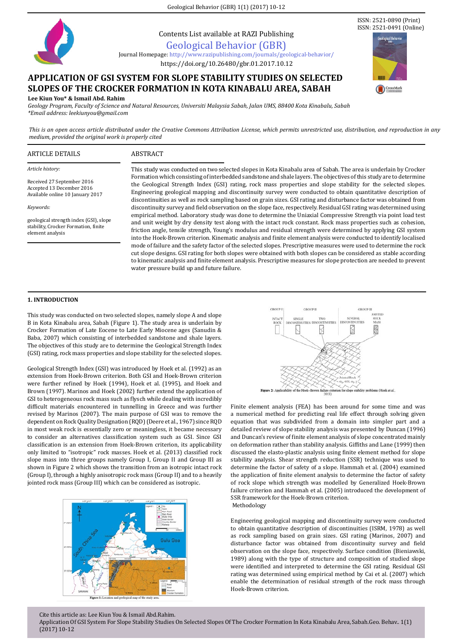Geological Behavior (GBR) 1(1) (2017) 10-12



Contents List available at RAZI Publishing

# Geological Behavior (GBR)

Journal Homepage: http://www.razipublishing.com/journals/geological-behavior[/]( http://www.razipublishing.com/journals/galeri-warisan-sains-gws/ )

# https://doi.org/10.26480/gbr.01.2017.10.12

# **APPLICATION OF GSI SYSTEM FOR SLOPE STABILITY STUDIES ON SELECTED SLOPES OF THE CROCKER FORMATION IN KOTA KINABALU AREA, SABAH**

**Lee Kiun You\* & Ismail Abd. Rahim**

*Geology Program, Faculty of Science and Natural Resources, Universiti Malaysia Sabah, Jalan UMS, 88400 Kota Kinabalu, Sabah \*Email address: leekiunyou@gmail.com*

*This is an open access article distributed under the Creative Commons Attribution License, which permits unrestricted use, distribution, and reproduction in any medium, provided the original work is properly cited*

## ARTICLE DETAILS ABSTRACT

*Article history:*

*Keywords:*

Received 27 September 2016 Accepted 13 December 2016 Available online 10 January 2017

geological strength index (GSI), slope stability, Crocker Formation, finite element analysis

This study was conducted on two selected slopes in Kota Kinabalu area of Sabah. The area is underlain by Crocker Formation which consisting of interbedded sandstone and shale layers. The objectives of this study are to determine the Geological Strength Index (GSI) rating, rock mass properties and slope stability for the selected slopes. Engineering geological mapping and discontinuity survey were conducted to obtain quantitative description of discontinuities as well as rock sampling based on grain sizes. GSI rating and disturbance factor was obtained from discontinuity survey and field observation on the slope face, respectively. Residual GSI rating was determined using empirical method. Laboratory study was done to determine the Uniaxial Compressive Strength via point load test and unit weight by dry density test along with the intact rock constant. Rock mass properties such as cohesion, friction angle, tensile strength, Young's modulus and residual strength were determined by applying GSI system into the Hoek-Brown criterion. Kinematic analysis and finite element analysis were conducted to identify localised mode of failure and the safety factor of the selected slopes. Prescriptive measures were used to determine the rock cut slope designs. GSI rating for both slopes were obtained with both slopes can be considered as stable according to kinematic analysis and finite element analysis. Prescriptive measures for slope protection are needed to prevent water pressure build up and future failure.

# **1. INTRODUCTION**

This study was conducted on two selected slopes, namely slope A and slope B in Kota Kinabalu area, Sabah (Figure 1). The study area is underlain by Crocker Formation of Late Eocene to Late Early Miocene ages (Sanudin & Baba, 2007) which consisting of interbedded sandstone and shale layers. The objectives of this study are to determine the Geological Strength Index (GSI) rating, rock mass properties and slope stability for the selected slopes.

Geological Strength Index (GSI) was introduced by Hoek et al. (1992) as an extension from Hoek-Brown criterion. Both GSI and Hoek-Brown criterion were further refined by Hoek (1994), Hoek et al. (1995), and Hoek and Brown (1997). Marinos and Hoek (2002) further extend the application of GSI to heterogeneous rock mass such as flysch while dealing with incredibly difficult materials encountered in tunnelling in Greece and was further revised by Marinos (2007). The main purpose of GSI was to remove the dependent on Rock Quality Designation (RQD) (Deere et al., 1967) since RQD in most weak rock is essentially zero or meaningless, it became necessary to consider an alternatives classification system such as GSI. Since GSI classification is an extension from Hoek-Brown criterion, its applicability only limited to "isotropic" rock masses. Hoek et al. (2013) classified rock slope mass into three groups namely Group I, Group II and Group III as shown in Figure 2 which shows the transition from an isotropic intact rock (Group I), through a highly anisotropic rock mass (Group II) and to a heavily jointed rock mass (Group III) which can be considered as isotropic.





Finite element analysis (FEA) has been around for some time and was a numerical method for predicting real life effect through solving given equation that was subdivided from a domain into simpler part and a detailed review of slope stability analysis was presented by Duncan (1996) and Duncan's review of finite element analysis of slope concentrated mainly on deformation rather than stability analysis. Giffiths and Lane (1999) then discussed the elasto-plastic analysis using finite element method for slope stability analysis. Shear strength reduction (SSR) technique was used to determine the factor of safety of a slope. Hammah et al. (2004) examined the application of finite element analysis to determine the factor of safety of rock slope which strength was modelled by Generalized Hoek-Brown failure criterion and Hammah et al. (2005) introduced the development of SSR framework for the Hoek-Brown criterion. Methodology

Engineering geological mapping and discontinuity survey were conducted to obtain quantitative description of discontinuities (ISRM, 1978) as well as rock sampling based on grain sizes. GSI rating (Marinos, 2007) and disturbance factor was obtained from discontinuity survey and field observation on the slope face, respectively. Surface condition (Bieniawski, 1989) along with the type of structure and composition of studied slope were identified and interpreted to determine the GSI rating. Residual GSI rating was determined using empirical method by Cai et al. (2007) which enable the determination of residual strength of the rock mass through Hoek-Brown criterion.

ISSN: 2521-0890 (Print) ISSN: 2521-0491 (Online)

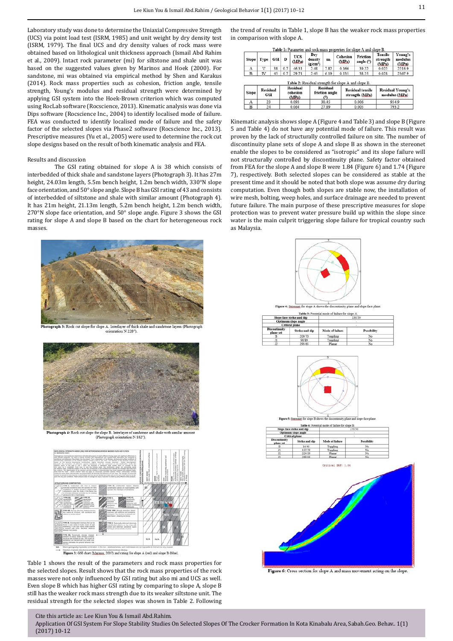Laboratory study was done to determine the Uniaxial Compressive Strength (UCS) via point load test (ISRM, 1985) and unit weight by dry density test (ISRM, 1979). The final UCS and dry density values of rock mass were obtained based on lithological unit thickness approach (Ismail Abd Rahim et al., 2009). Intact rock parameter (mi) for siltstone and shale unit was based on the suggested values given by Marinos and Hoek (2000). For sandstone, mi was obtained via empirical method by Shen and Karakus (2014). Rock mass properties such as cohesion, friction angle, tensile strength, Young's modulus and residual strength were determined by applying GSI system into the Hoek-Brown criterion which was computed using RocLab software (Rocscience, 2013). Kinematic analysis was done via Dips software (Rocscience Inc., 2004) to identify localised mode of failure. FEA was conducted to identify localised mode of failure and the safety factor of the selected slopes via Phase2 software (Rocscience Inc., 2013). Prescriptive measures (Yu et al., 2005) were used to determine the rock cut slope designs based on the result of both kinematic analysis and FEA.

### Results and discussion

The GSI rating obtained for slope A is 38 which consists of interbedded of thick shale and sandstone layers (Photograph 3). It has 27m height, 24.03m length, 5.5m bench height, 1.2m bench width, 330°N slope face orientation, and 50° slope angle. Slope B has GSI rating of 43 and consists of interbedded of siltstone and shale with similar amount (Photograph 4). It has 21m height, 21.13m length, 5.2m bench height, 1.2m bench width, 270°N slope face orientation, and 50° slope angle. Figure 3 shows the GSI rating for slope A and slope B based on the chart for heterogeneous rock masses.



tograph 3: Rock cut slope for slope A. Interlayer of thick shale and sandstone layers (Photograp<br>orientation N 228°).



ograph 4: Rock cut slope for slope B. Interlayer of sandstor<br>(Photograph orientation N 182°)



Figure 3: GSI chart (Marinos, 2007) and rating for slope A (red) and slope B (blue)

Table 1 shows the result of the parameters and rock mass properties for the selected slopes. Result shows that the rock mass properties of the rock masses were not only influenced by GSI rating but also mi and UCS as well. Even slope B which has higher GSI rating by comparing to slope A, slope B still has the weaker rock mass strength due to its weaker siltstone unit. The residual strength for the selected slopes was shown in Table 2. Following

Cite this article as: Lee Kiun You & Ismail Abd.Rahim.

Application Of GSI System For Slope Stability Studies On Selected Slopes Of The Crocker Formation In Kota Kinabalu Area, Sabah.Geo. Behav.. 1(1) (2017) 10-12

the trend of results in Table 1, slope B has the weaker rock mass properties in comparison with slope A.

| Slope | Type | <b>GSI</b> | D   | <b>UCS</b><br>(MPa) | Dry<br>density<br>$(g/cm^3)$ | $\mathbf{m}_i$ | Cohesion<br>(MPa) | <b>Friction</b><br>angle $(°)$ | <b>Tensile</b><br>strength<br>(MPa) | Young's<br>modulus<br>(MPa) |
|-------|------|------------|-----|---------------------|------------------------------|----------------|-------------------|--------------------------------|-------------------------------------|-----------------------------|
| А     | v    | 38         | 0.7 | 46.31               | 2.48                         | 7.82           | 0.166             | 39.22                          | 0.022                               | 2216.9                      |
| B     | ΙV   | 43         | 0.7 | 29.71               | 2.45                         | 6.19           | 0.135             | 38.25                          | 0.028                               | 2367.9                      |

| Slope | <b>Residual</b><br><b>GSI</b> | Residual<br>cohesion<br>$(\mathbf{MPa})$ | Residual<br>friction angle<br>Ω | <b>Residual tensile</b><br>strength (MPa) | <b>Residual Young's</b><br>modulus (MPa) |
|-------|-------------------------------|------------------------------------------|---------------------------------|-------------------------------------------|------------------------------------------|
| А     | 23                            | 0.093                                    | 30.45                           | 0.006                                     | 934.9                                    |
| B     | 24                            | 0.064                                    | 27.89                           | 0.005                                     | 793.2                                    |

Kinematic analysis shows slope A (Figure 4 and Table 3) and slope B (Figure 5 and Table 4) do not have any potential mode of failure. This result was proven by the lack of structurally controlled failure on site. The number of discontinuity plane sets of slope A and slope B as shown in the stereonet enable the slopes to be considered as "isotropic" and its slope failure will not structurally controlled by discontinuity plane. Safety factor obtained from FEA for the slope A and slope B were 1.84 (Figure 6) and 1.74 (Figure 7), respectively. Both selected slopes can be considered as stable at the present time and it should be noted that both slope was assume dry during computation. Even though both slopes are stable now, the installation of wire mesh, bolting, weep holes, and surface drainage are needed to prevent future failure. The main purpose of these prescriptive measures for slope protection was to prevent water pressure build up within the slope since water is the main culprit triggering slope failure for tropical country such as Malaysia.





|                            | Slope face strike and dip | 270/50          |             |  |
|----------------------------|---------------------------|-----------------|-------------|--|
|                            | Optimum slope angle       |                 |             |  |
|                            | <b>Critical</b> plane     |                 |             |  |
| Discontinuity<br>plane set | Strike and dip            | Mode of failure | Possibility |  |
|                            | 16/43                     | Toppling        | No          |  |
|                            | 137/79                    | cepling.        | No          |  |
|                            | 224/59                    | Planar          | No          |  |



Figure 6: Cross section for slope A and mass movement acting on the slope.